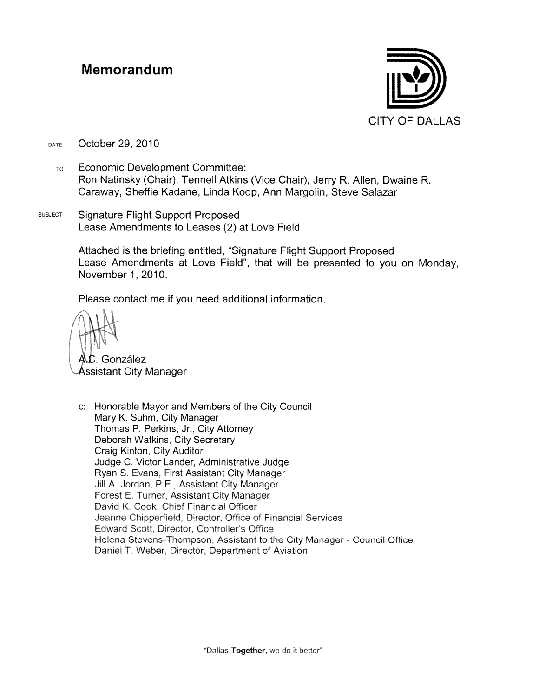#### Memorandum



October 29, 2010 DATE

- **Economic Development Committee:**  $T<sub>O</sub>$ Ron Natinsky (Chair), Tennell Atkins (Vice Chair), Jerry R. Allen, Dwaine R. Caraway, Sheffie Kadane, Linda Koop, Ann Margolin, Steve Salazar
- **SUBJECT Signature Flight Support Proposed** Lease Amendments to Leases (2) at Love Field

Attached is the briefing entitled, "Signature Flight Support Proposed Lease Amendments at Love Field", that will be presented to you on Monday, November 1, 2010.

Please contact me if you need additional information.

C. González

Assistant City Manager

c: Honorable Mayor and Members of the City Council Mary K. Suhm, City Manager Thomas P. Perkins, Jr., City Attorney Deborah Watkins, City Secretary Craig Kinton, City Auditor Judge C. Victor Lander, Administrative Judge Ryan S. Evans, First Assistant City Manager Jill A. Jordan, P.E., Assistant City Manager Forest E. Turner, Assistant City Manager David K. Cook, Chief Financial Officer Jeanne Chipperfield, Director, Office of Financial Services Edward Scott, Director, Controller's Office Helena Stevens-Thompson, Assistant to the City Manager - Council Office Daniel T. Weber, Director, Department of Aviation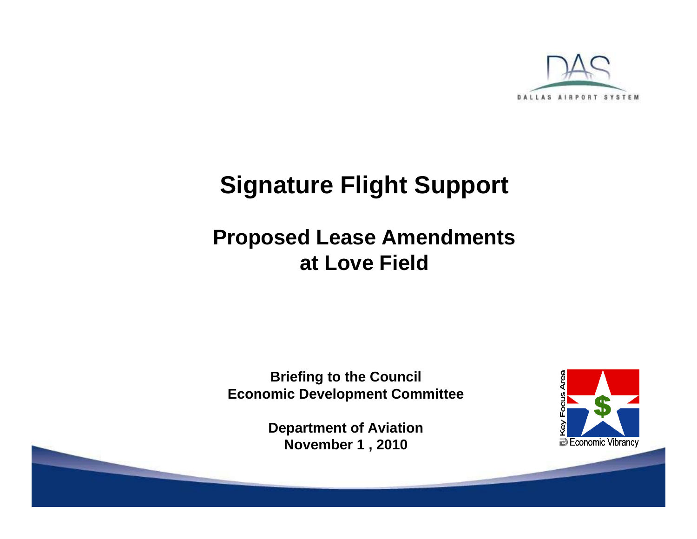

#### **Signature Flight Support**

#### **Proposed Lease Amendments at Love Field**

**Briefing to the Council Economic Development Committee**

> **Department of Aviation November 1 , 2010**

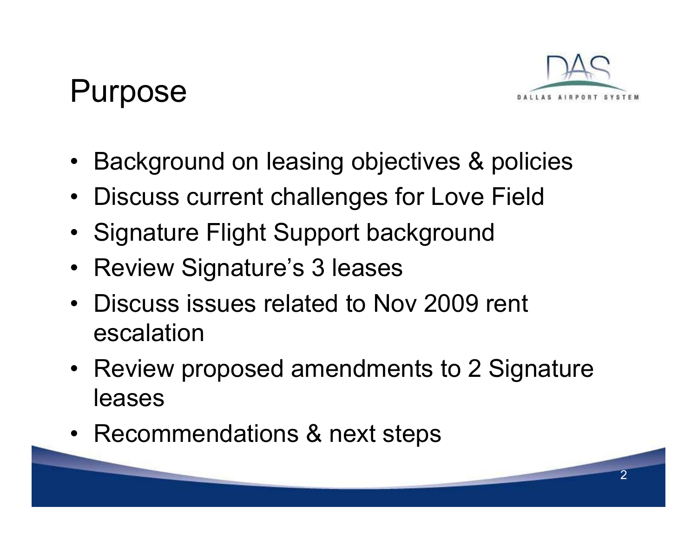#### Purpose



- Background on leasing objectives & policies
- Discuss current challenges for Love Field
- Signature Flight Support background
- Review Signature's 3 leases
- Discuss issues related to Nov 2009 rent escalation
- Review proposed amendments to 2 Signature leases
- Recommendations & next steps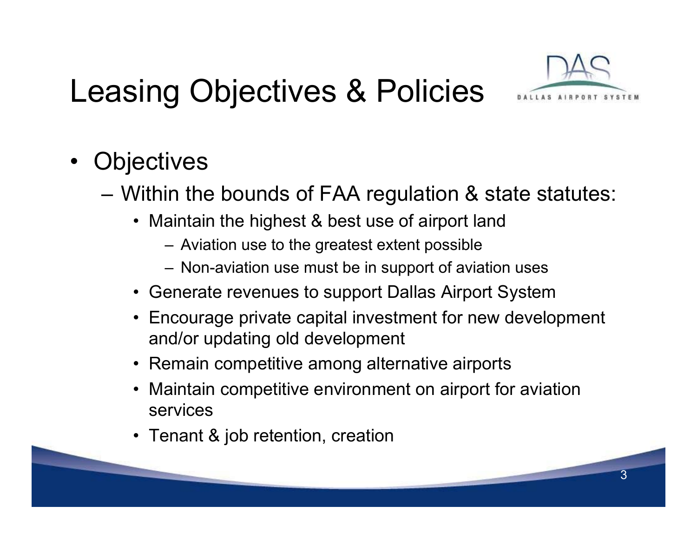# Leasing Objectives & Policies



- •**Objectives** 
	- Within the bounds of FAA regulation & state statutes:
		- Maintain the highest & best use of airport land
			- Aviation use to the greatest extent possible
			- Non-aviation use must be in support of aviation uses
		- Generate revenues to support Dallas Airport System
		- Encourage private capital investment for new development and/or updating old development
		- Remain competitive among alternative airports
		- • Maintain competitive environment on airport for aviation services
		- Tenant & job retention, creation

**Contract Contract**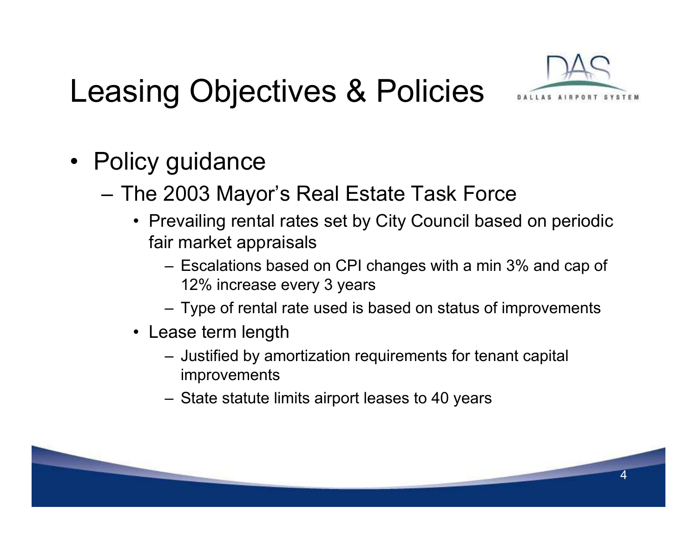## Leasing Objectives & Policies



- Policy guidance
	- The 2003 Mayor's Real Estate Task Force
		- Prevailing rental rates set by City Council based on periodic fair market appraisals
			- Escalations based on CPI changes with a min 3% and cap of 12% increase every 3 years
			- Type of rental rate used is based on status of improvements
		- Lease term length
			- Justified by amortization requirements for tenant capital improvements
			- State statute limits airport leases to 40 years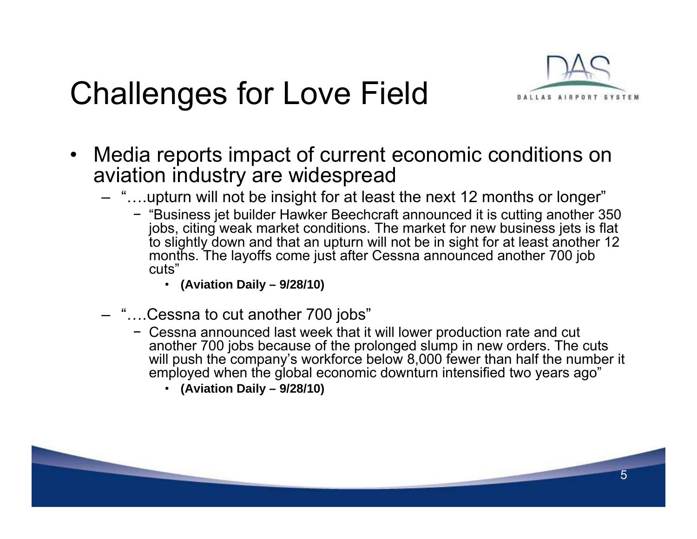#### Challenges for Love Field



- • Media reports impact of current economic conditions on aviation industry are widespread
	- "….upturn will not be insight for at least the next 12 months or longer"
		- − "Business jet builder Hawker Beechcraft announced it is cutting another 350 jobs, citing weak market conditions. The market for new business jets is flat to slightly down and that an upturn will not be in sight for at least another 12 months. The layoffs come just after Cessna announced another 700 job cuts"
			- **(Aviation Daily 9/28/10)**
	- "….Cessna to cut another 700 jobs"
		- − Cessna announced last week that it will lower production rate and cut another 700 jobs because of the prolonged slump in new orders. The cuts will push the company's workforce below 8,000 fewer than half the number it employed when the global economic downturn intensified two years ago"
			- **(Aviation Daily 9/28/10)**

**Contract Contract**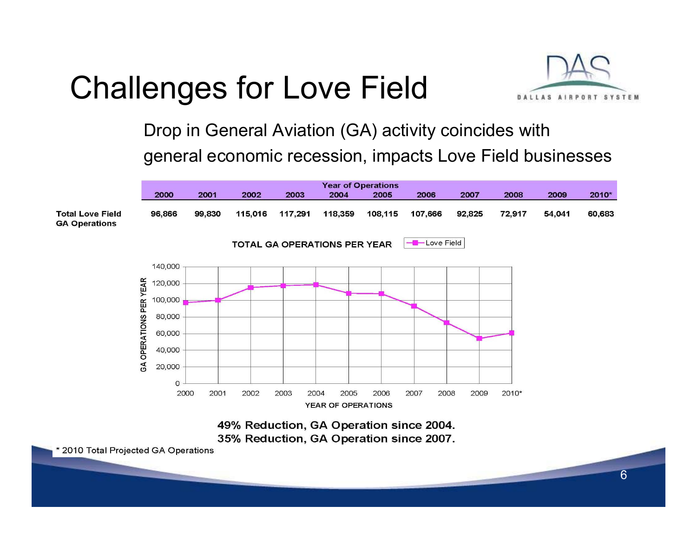### Challenges for Love Field



Drop in General Aviation (GA) activity coincides with general economic recession, impacts Love Field businesses





**Contract Contract Contract Contract Contract Contract Contract Contract Contract Contract Contract Contract Contract Contract Contract Contract Contract Contract Contract Contract Contract Contract Contract Contract Contr**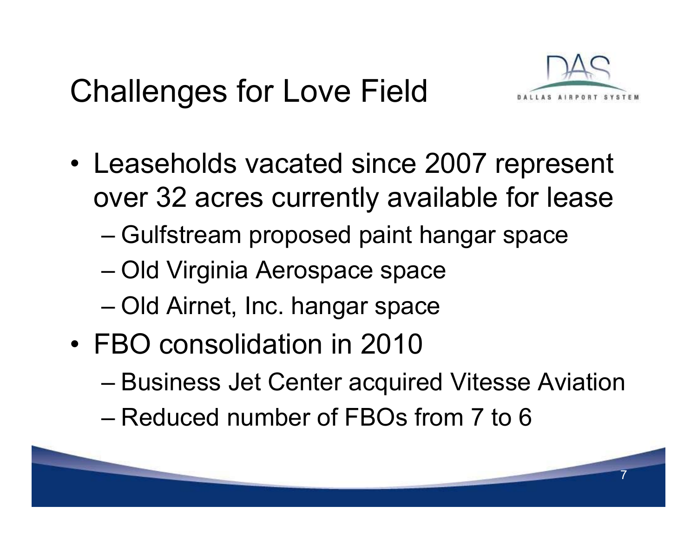### Challenges for Love Field



- Leaseholds vacated since 2007 represent over 32 acres currently available for lease
	- Gulfstream proposed paint hangar space
	- Old Virginia Aerospace space
	- Old Airnet, Inc. hangar space
- FBO consolidation in 2010
	- Business Jet Center acquired Vitesse Aviation
	- Reduced number of FBOs from 7 to 6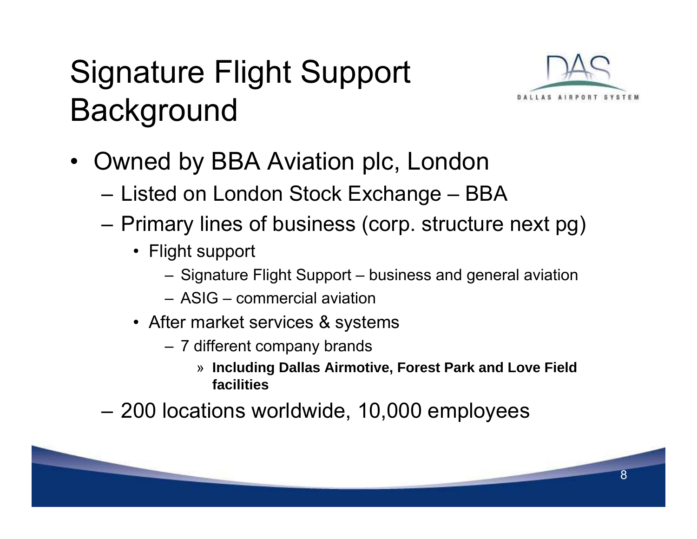# Signature Flight Support **Background**



- • Owned by BBA Aviation plc, London
	- Listed on London Stock Exchange BBA
	- Primary lines of business (corp. structure next pg)
		- Flight support
			- Signature Flight Support business and general aviation
			- ASIG commercial aviation
		- After market services & systems
			- 7 different company brands
				- » **Including Dallas Airmotive, Forest Park and Love Field facilities**
	- 200 locations worldwide, 10,000 employees

**Contract Contract Contract Contract Contract**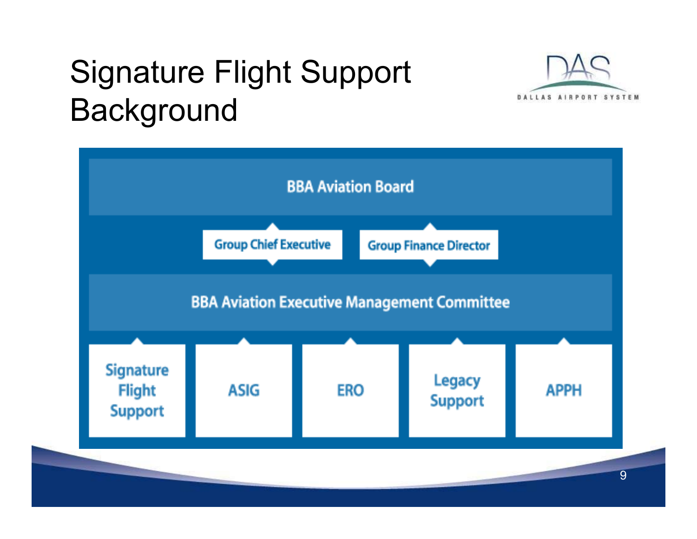### Signature Flight Support Background



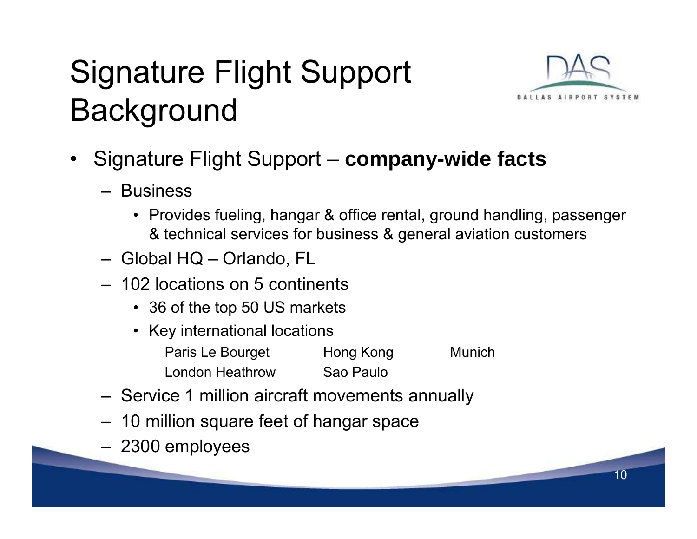# Signature Flight Support **Background**



- • Signature Flight Support – **company-wide facts**
	- Business
		- Provides fueling, hangar & office rental, ground handling, passenger & technical services for business & general aviation customers
	- Global HQ Orlando, FL
	- 102 locations on 5 continents
		- 36 of the top 50 US markets
		- Key international locations Paris Le Bourget Hong Kong Munich London HeathrowSao Paulo
	- Service 1 million aircraft movements annually
	- 10 million square feet of hangar space
	- 2300 employees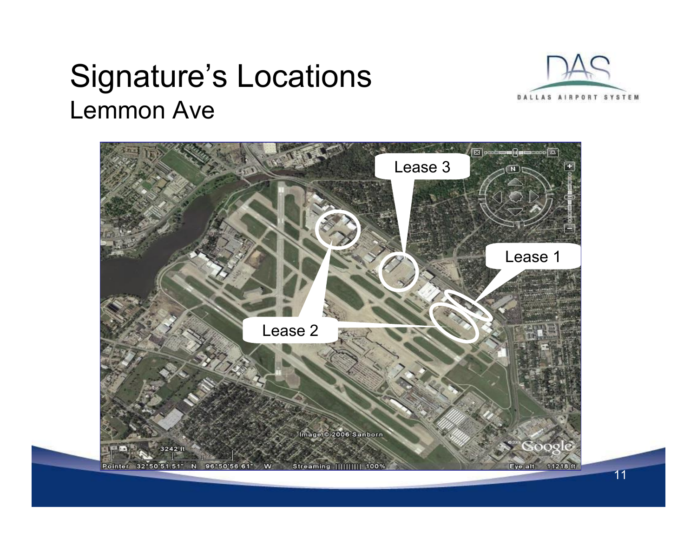#### Signature's Locations Lemmon Ave



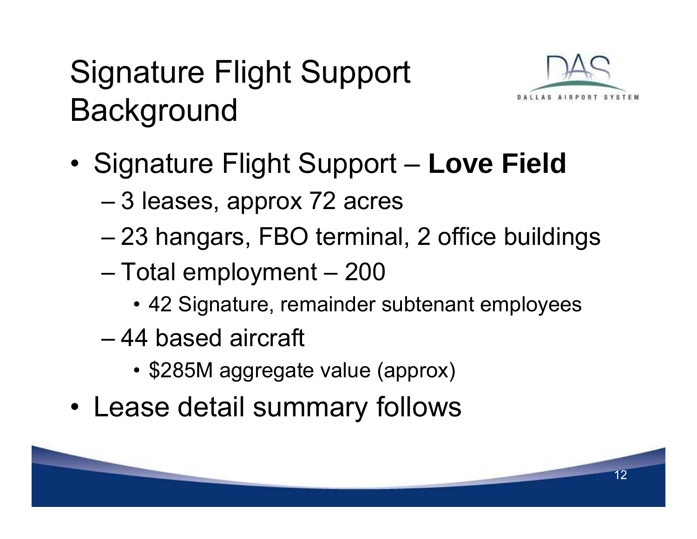# Signature Flight Support **Background**



- •**• Signature Flight Support - Love Field** 
	- 3 leases, approx 72 acres
	- 23 hangars, FBO terminal, 2 office buildings
	- Total employment 200
		- 42 Signature, remainder subtenant employees
	- 44 based aircraft
		- \$285M aggregate value (approx)
- •Lease detail summary follows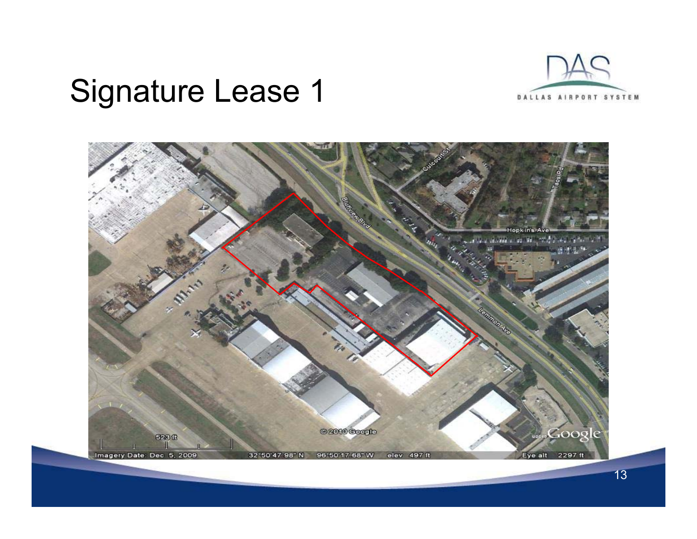

#### Signature Lease 1

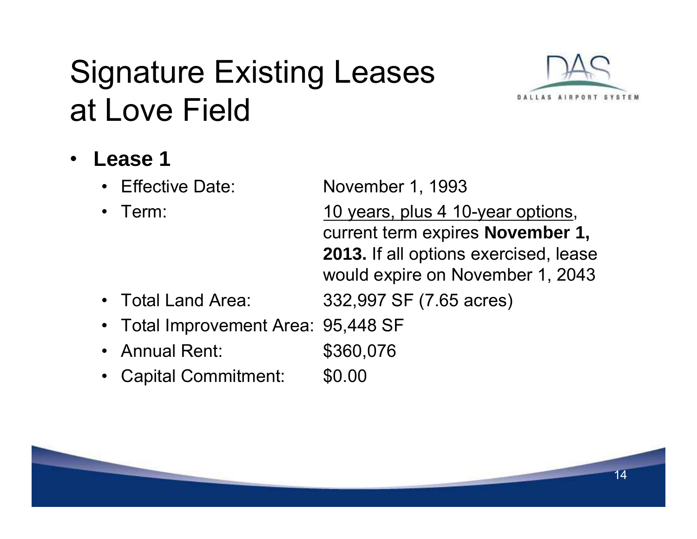### Signature Existing Leases at Love Field



- • **Lease 1**
	- •
	- $\bullet$

Effective Date: November 1, 1993

Term: Term: 10 years, plus 4 10-year options, current term expires **November 1, 2013.** If all options exercised, lease would expire on November 1, 2043

- •Total Land Area: 332,997 SF (7.65 acres)
- $\bullet$ Total Improvement Area: 95,448 SF
- •Annual Rent: \$360,076
- •Capital Commitment: \$0.00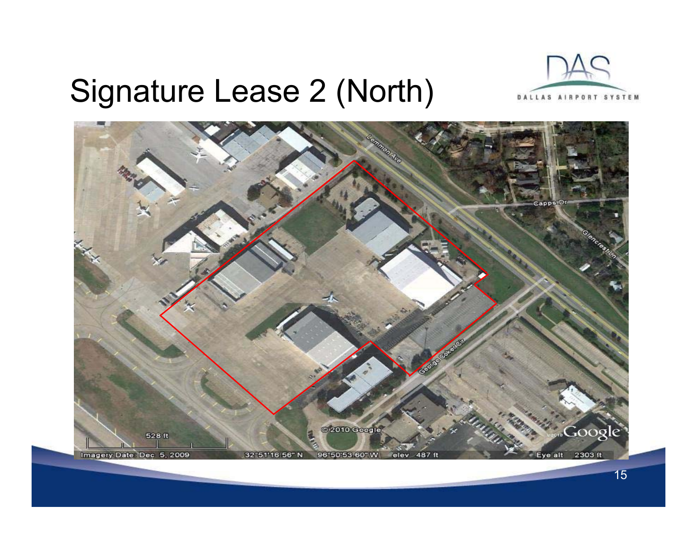#### Signature Lease 2 (North)



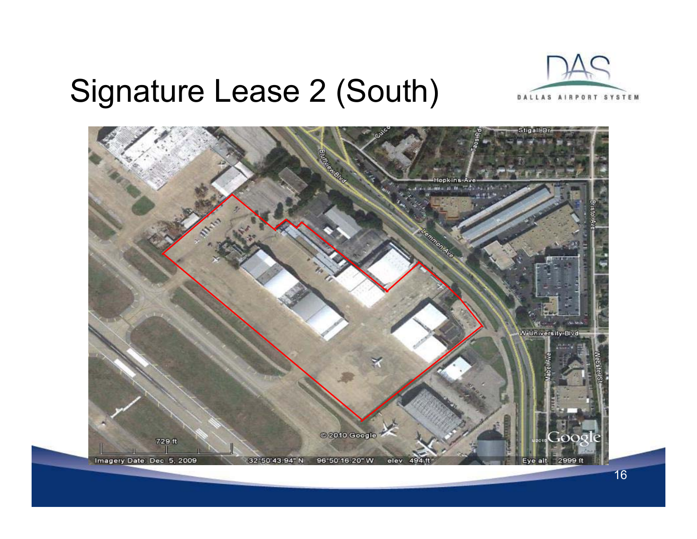#### Signature Lease 2 (South)



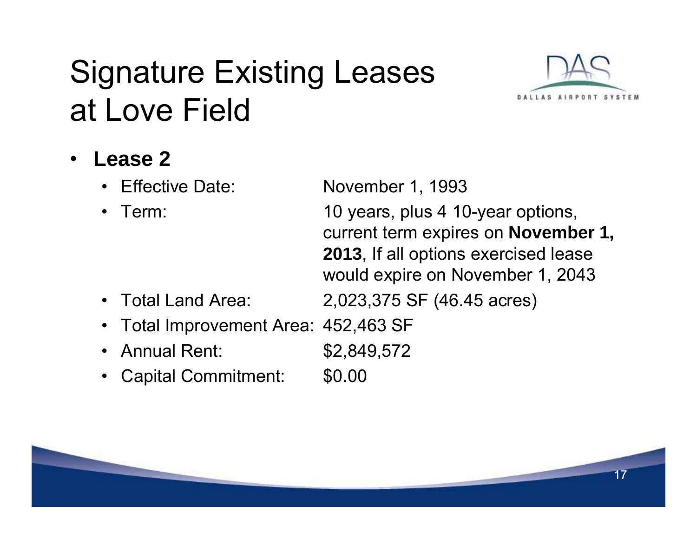### Signature Existing Leases at Love Field



- • **Lease 2**
	- •
	- $\bullet$

Effective Date: November 1, 1993

 Term: 10 years, plus 4 10-year options, current term expires on **November 1, 2013**, If all options exercised lease would expire on November 1, 2043

- •Total Land Area: 2,023,375 SF (46.45 acres)
- $\bullet$ Total Improvement Area: 452,463 SF
- •Annual Rent: \$2,849,572
- •Capital Commitment: \$0.00

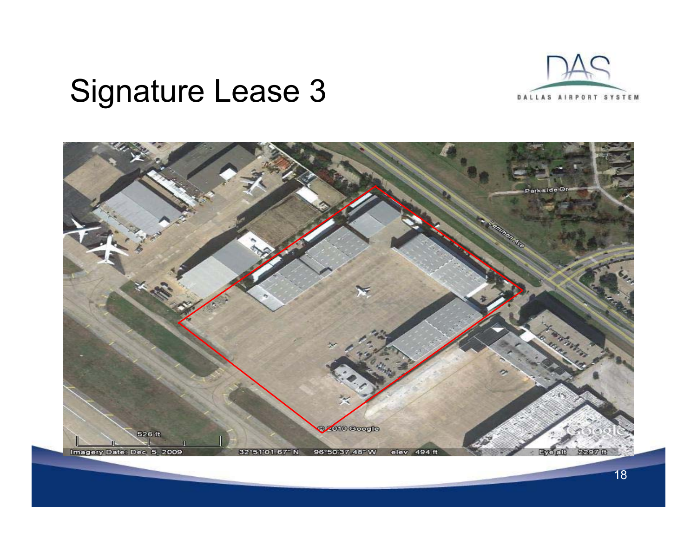

#### Signature Lease 3

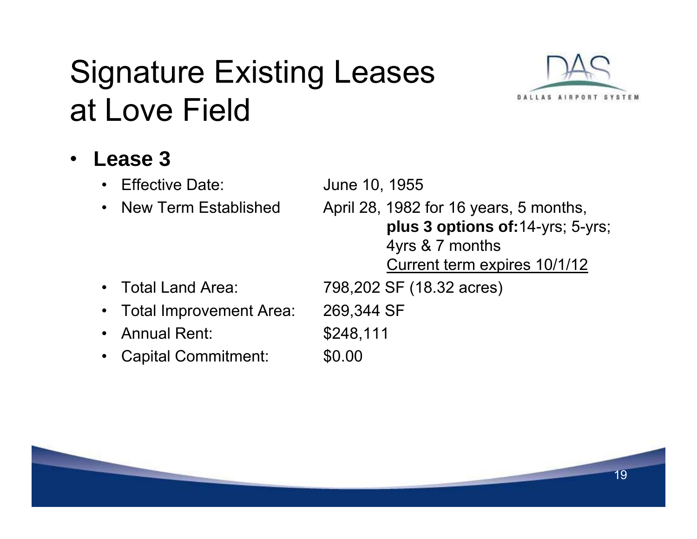### Signature Existing Leases at Love Field



#### •**Lease 3**

- $\bullet$ Effective Date: June 10, 1955
- $\bullet$ New Term Established

 April 28, 1982 for 16 years, 5 months, **plus 3 options of:**14-yrs; 5-yrs; 4yrs & 7 months Current term expires 10/1/12

- $\bullet$
- $\bullet$ Total Improvement Area: 269,344 SF
- $\bullet$ Annual Rent: \$248,111
- •Capital Commitment: \$0.00

Total Land Area: 798,202 SF (18.32 acres)

- -
-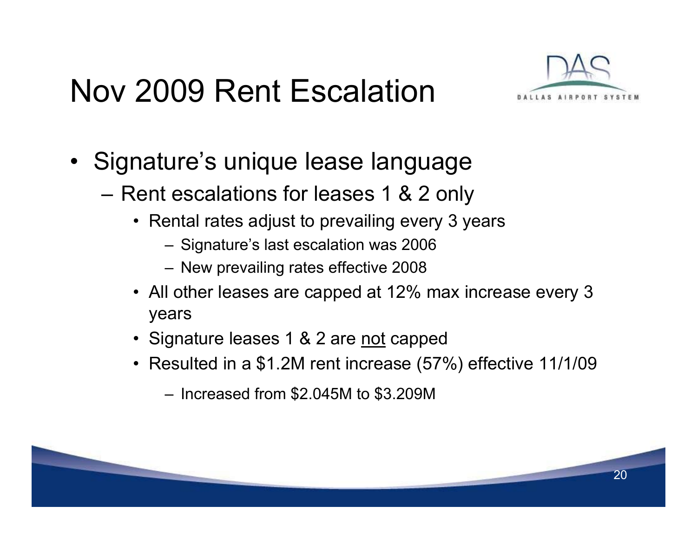#### Nov 2009 Rent Escalation



- Signature's unique lease language
	- $-$  Rent escalations for leases 1 & 2 only
		- Rental rates adjust to prevailing every 3 years
			- Signature's last escalation was 2006
			- New prevailing rates effective 2008
		- All other leases are capped at 12% max increase every 3 years
		- Signature leases 1 & 2 are <u>not</u> capped
		- Resulted in a \$1.2M rent increase (57%) effective 11/1/09
			- Increased from \$2.045M to \$3.209M

**Contract Contract**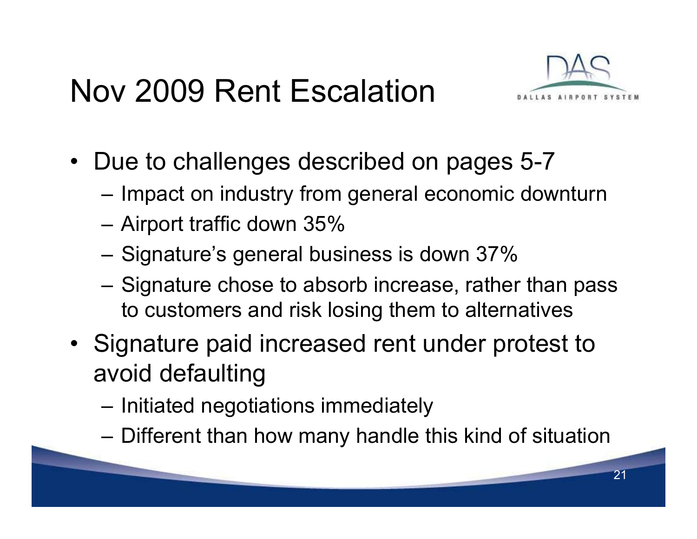#### Nov 2009 Rent Escalation



- Due to challenges described on pages 5-7
	- $-$  Impact on industry from general economic downturn
	- Airport traffic down 35%
	- $-$  Signature's general business is down 37%  $\,$
	- –– Signature chose to absorb increase, rather than pass to customers and risk losing them to alternatives
- Signature paid increased rent under protest to avoid defaulting
	- $-$  Initiated negotiations immediately
	- Different than how many handle this kind of situation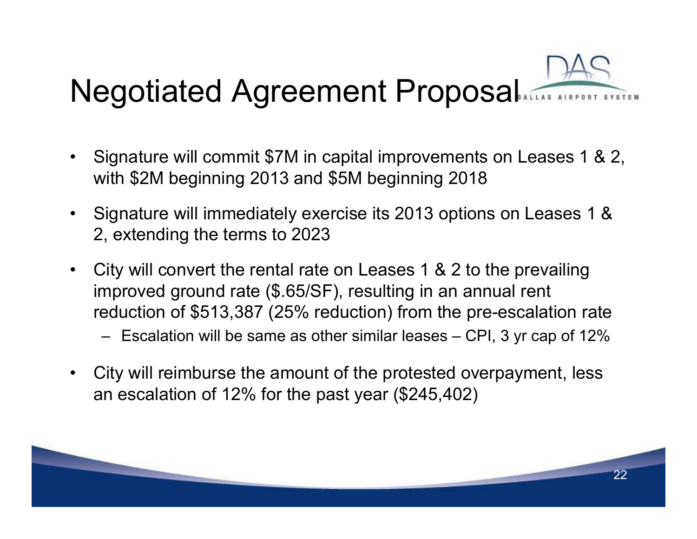# Negotiated Agreement Proposal

- $\bullet$  Signature will commit \$7M in capital improvements on Leases 1 & 2, with \$2M beginning 2013 and \$5M beginning 2018
- $\bullet$  Signature will immediately exercise its 2013 options on Leases 1 & 2, extending the terms to 2023
- City will convert the rental rate on Leases 1 & 2 to the prevailing improved ground rate (\$.65/SF), resulting in an annual rent reduction of \$513,387 (25% reduction) from the pre-escalation rate
	- Escalation will be same as other similar leases CPI, 3 yr cap of 12%
- $\bullet$  City will reimburse the amount of the protested overpayment, less an escalation of 12% for the past year (\$245,402)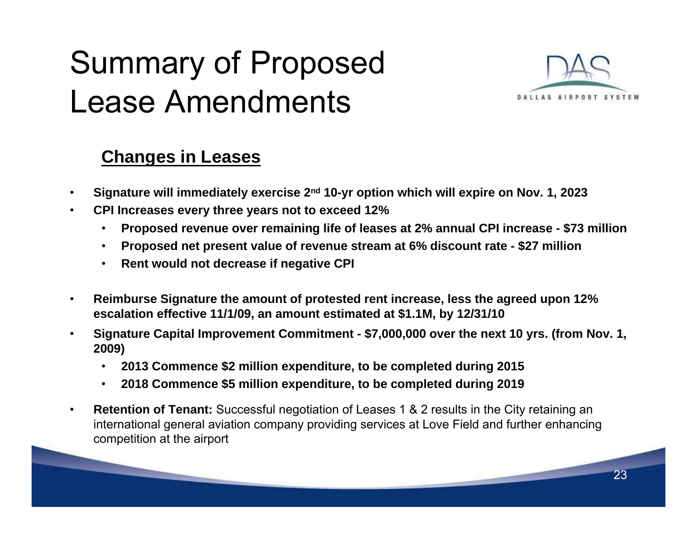### Summary of Proposed Lease Amendments



#### **Changes in Leases**

- •**Signature will immediately exercise 2nd 10-yr option which will expire on Nov. 1, 2023**
- • **CPI Increases every three years not to exceed 12%**
	- $\bullet$ **Proposed revenue over remaining life of leases at 2% annual CPI increase - \$73 million**
	- $\bullet$ **Proposed net present value of revenue stream at 6% discount rate - \$27 million**
	- $\bullet$ **Rent would not decrease if negative CPI**
- • **Reimburse Signature the amount of protested rent increase, less the agreed upon 12% escalation effective 11/1/09, an amount estimated at \$1.1M, by 12/31/10**
- • **Signature Capital Improvement Commitment - \$7,000,000 over the next 10 yrs. (from Nov. 1, 2009)** 
	- •**2013 Commence \$2 million expenditure, to be completed during 2015**
	- $\bullet$ **2018 Commence \$5 million expenditure, to be completed during 2019**
- • **Retention of Tenant:** Successful negotiation of Leases 1 & 2 results in the City retaining an international general aviation company providing services at Love Field and further enhancing competition at the airport

<u> a shekara ta 1999</u>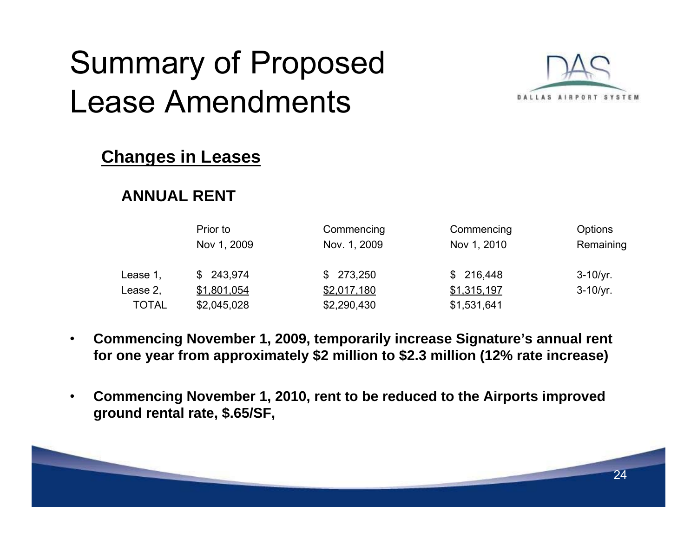### Summary of Proposed Lease Amendments



#### **Changes in Leases**

#### **ANNUAL RENT**

|              | Prior to<br>Nov 1, 2009 | Commencing<br>Nov. 1, 2009 | Commencing<br>Nov 1, 2010 | <b>Options</b><br>Remaining |
|--------------|-------------------------|----------------------------|---------------------------|-----------------------------|
|              |                         |                            |                           |                             |
| Lease 1,     | \$243,974               | \$273,250                  | \$216,448                 | $3 - 10/yr.$                |
| Lease 2,     | \$1,801,054             | \$2,017,180                | \$1,315,197               | $3 - 10/yr.$                |
| <b>TOTAL</b> | \$2,045,028             | \$2,290,430                | \$1,531,641               |                             |

- • **Commencing November 1, 2009, temporarily increase Signature's annual rent for one year from approximately \$2 million to \$2.3 million (12% rate increase)**
- • **Commencing November 1, 2010, rent to be reduced to the Airports improved ground rental rate, \$.65/SF,**